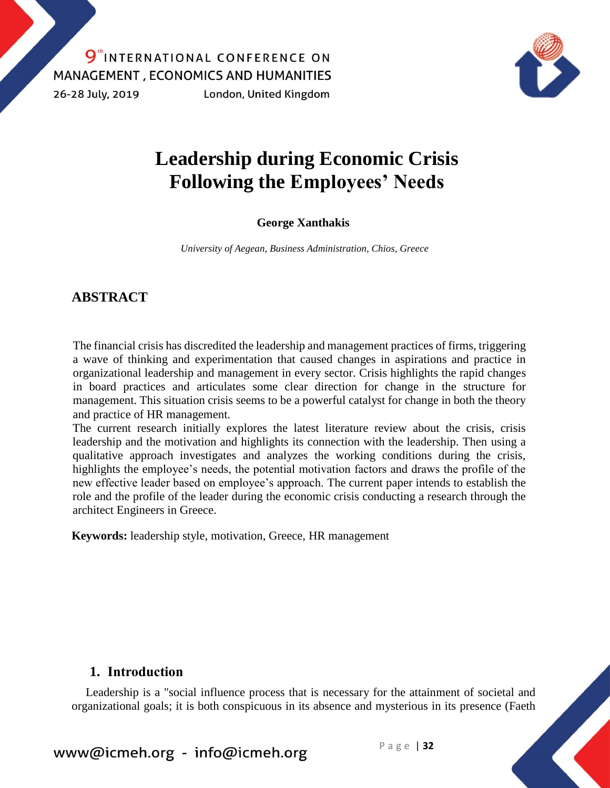9<sup>th</sup>INTERNATIONAL CONFERENCE ON **MANAGEMENT, ECONOMICS AND HUMANITIES** 26-28 July, 2019 London, United Kingdom



# **Leadership during Economic Crisis Following the Employees' Needs**

### **George Xanthakis**

*University of Aegean, Business Administration, Chios, Greece*

### **ABSTRACT**

The financial crisis has discredited the leadership and management practices of firms, triggering a wave of thinking and experimentation that caused changes in aspirations and practice in organizational leadership and management in every sector. Crisis highlights the rapid changes in board practices and articulates some clear direction for change in the structure for management. This situation crisis seems to be a powerful catalyst for change in both the theory and practice of HR management.

The current research initially explores the latest literature review about the crisis, crisis leadership and the motivation and highlights its connection with the leadership. Then using a qualitative approach investigates and analyzes the working conditions during the crisis, highlights the employee's needs, the potential motivation factors and draws the profile of the new effective leader based on employee's approach. The current paper intends to establish the role and the profile of the leader during the economic crisis conducting a research through the architect Engineers in Greece.

**Keywords:** leadership style, motivation, Greece, HR management

### **1. Introduction**

Leadership is a "social influence process that is necessary for the attainment of societal and organizational goals; it is both conspicuous in its absence and mysterious in its presence (Faeth

www@icmeh.org - info@icmeh.org  $P \text{age}$  | 32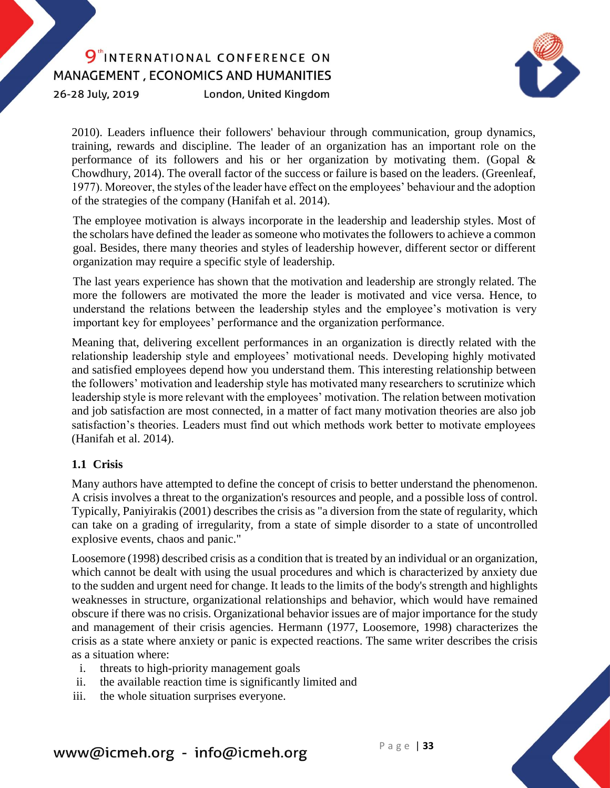26-28 July, 2019

London, United Kingdom



2010). Leaders influence their followers' behaviour through communication, group dynamics, training, rewards and discipline. The leader of an organization has an important role on the performance of its followers and his or her organization by motivating them. (Gopal & Chowdhury, 2014). The overall factor of the success or failure is based on the leaders. (Greenleaf, 1977). Moreover, the styles of the leader have effect on the employees' behaviour and the adoption of the strategies of the company (Hanifah et al. 2014).

The employee motivation is always incorporate in the leadership and leadership styles. Most of the scholars have defined the leader as someone who motivates the followers to achieve a common goal. Besides, there many theories and styles of leadership however, different sector or different organization may require a specific style of leadership.

The last years experience has shown that the motivation and leadership are strongly related. The more the followers are motivated the more the leader is motivated and vice versa. Hence, to understand the relations between the leadership styles and the employee's motivation is very important key for employees' performance and the organization performance.

Meaning that, delivering excellent performances in an organization is directly related with the relationship leadership style and employees' motivational needs. Developing highly motivated and satisfied employees depend how you understand them. This interesting relationship between the followers' motivation and leadership style has motivated many researchers to scrutinize which leadership style is more relevant with the employees' motivation. The relation between motivation and job satisfaction are most connected, in a matter of fact many motivation theories are also job satisfaction's theories. Leaders must find out which methods work better to motivate employees [\(Hanifah et al. 2014\).](#page-10-0)

### **1.1 Crisis**

Many authors have attempted to define the concept of crisis to better understand the phenomenon. A crisis involves a threat to the organization's resources and people, and a possible loss of control. Typically, Paniyirakis (2001) describes the crisis as "a diversion from the state of regularity, which can take on a grading of irregularity, from a state of simple disorder to a state of uncontrolled explosive events, chaos and panic."

Loosemore (1998) described crisis as a condition that is treated by an individual or an organization, which cannot be dealt with using the usual procedures and which is characterized by anxiety due to the sudden and urgent need for change. It leads to the limits of the body's strength and highlights weaknesses in structure, organizational relationships and behavior, which would have remained obscure if there was no crisis. Organizational behavior issues are of major importance for the study and management of their crisis agencies. Hermann (1977, Loosemore, 1998) characterizes the crisis as a state where anxiety or panic is expected reactions. The same writer describes the crisis as a situation where:

- i. threats to high-priority management goals
- ii. the available reaction time is significantly limited and
- iii. the whole situation surprises everyone.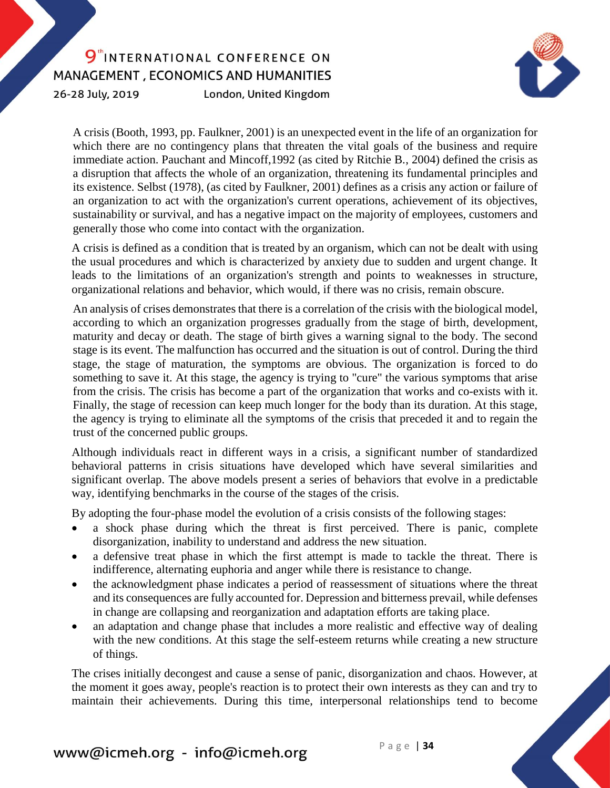26-28 July, 2019

London, United Kingdom



A crisis (Booth, 1993, pp. Faulkner, 2001) is an unexpected event in the life of an organization for which there are no contingency plans that threaten the vital goals of the business and require immediate action. Pauchant and Mincoff,1992 (as cited by Ritchie B., 2004) defined the crisis as a disruption that affects the whole of an organization, threatening its fundamental principles and its existence. Selbst (1978), (as cited by Faulkner, 2001) defines as a crisis any action or failure of an organization to act with the organization's current operations, achievement of its objectives, sustainability or survival, and has a negative impact on the majority of employees, customers and generally those who come into contact with the organization.

A crisis is defined as a condition that is treated by an organism, which can not be dealt with using the usual procedures and which is characterized by anxiety due to sudden and urgent change. It leads to the limitations of an organization's strength and points to weaknesses in structure, organizational relations and behavior, which would, if there was no crisis, remain obscure.

An analysis of crises demonstrates that there is a correlation of the crisis with the biological model, according to which an organization progresses gradually from the stage of birth, development, maturity and decay or death. The stage of birth gives a warning signal to the body. The second stage is its event. The malfunction has occurred and the situation is out of control. During the third stage, the stage of maturation, the symptoms are obvious. The organization is forced to do something to save it. At this stage, the agency is trying to "cure" the various symptoms that arise from the crisis. The crisis has become a part of the organization that works and co-exists with it. Finally, the stage of recession can keep much longer for the body than its duration. At this stage, the agency is trying to eliminate all the symptoms of the crisis that preceded it and to regain the trust of the concerned public groups.

Although individuals react in different ways in a crisis, a significant number of standardized behavioral patterns in crisis situations have developed which have several similarities and significant overlap. The above models present a series of behaviors that evolve in a predictable way, identifying benchmarks in the course of the stages of the crisis.

By adopting the four-phase model the evolution of a crisis consists of the following stages:

- a shock phase during which the threat is first perceived. There is panic, complete disorganization, inability to understand and address the new situation.
- a defensive treat phase in which the first attempt is made to tackle the threat. There is indifference, alternating euphoria and anger while there is resistance to change.
- the acknowledgment phase indicates a period of reassessment of situations where the threat and its consequences are fully accounted for. Depression and bitterness prevail, while defenses in change are collapsing and reorganization and adaptation efforts are taking place.
- an adaptation and change phase that includes a more realistic and effective way of dealing with the new conditions. At this stage the self-esteem returns while creating a new structure of things.

The crises initially decongest and cause a sense of panic, disorganization and chaos. However, at the moment it goes away, people's reaction is to protect their own interests as they can and try to maintain their achievements. During this time, interpersonal relationships tend to become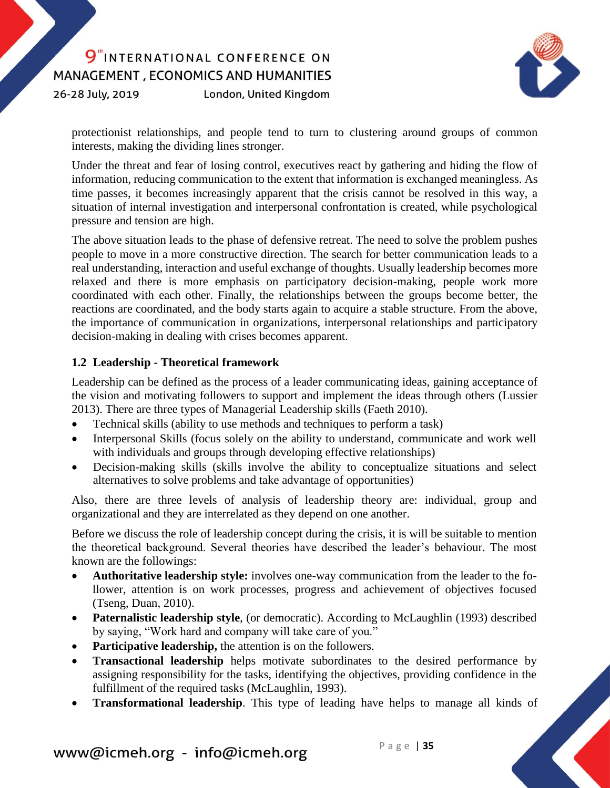26-28 July, 2019

London, United Kingdom



protectionist relationships, and people tend to turn to clustering around groups of common interests, making the dividing lines stronger.

Under the threat and fear of losing control, executives react by gathering and hiding the flow of information, reducing communication to the extent that information is exchanged meaningless. As time passes, it becomes increasingly apparent that the crisis cannot be resolved in this way, a situation of internal investigation and interpersonal confrontation is created, while psychological pressure and tension are high.

The above situation leads to the phase of defensive retreat. The need to solve the problem pushes people to move in a more constructive direction. The search for better communication leads to a real understanding, interaction and useful exchange of thoughts. Usually leadership becomes more relaxed and there is more emphasis on participatory decision-making, people work more coordinated with each other. Finally, the relationships between the groups become better, the reactions are coordinated, and the body starts again to acquire a stable structure. From the above, the importance of communication in organizations, interpersonal relationships and participatory decision-making in dealing with crises becomes apparent.

#### **1.2 Leadership - Theoretical framework**

Leadership can be defined as the process of a leader communicating ideas, gaining acceptance of the vision and motivating followers to support and implement the ideas through others (Lussier 2013). There are three types of Managerial Leadership skills (Faeth 2010).

- Technical skills (ability to use methods and techniques to perform a task)
- Interpersonal Skills (focus solely on the ability to understand, communicate and work well with individuals and groups through developing effective relationships)
- Decision-making skills (skills involve the ability to conceptualize situations and select alternatives to solve problems and take advantage of opportunities)

Also, there are three levels of analysis of leadership theory are: individual, group and organizational and they are interrelated as they depend on one another.

Before we discuss the role of leadership concept during the crisis, it is will be suitable to mention the theoretical background. Several theories have described the leader's behaviour. The most known are the followings:

- **Authoritative leadership style:** involves one-way communication from the leader to the follower, attention is on work processes, progress and achievement of objectives focused (Tseng, Duan, 2010).
- **Paternalistic leadership style**, (or democratic). According to McLaughlin (1993) described by saying, "Work hard and company will take care of you."
- **•** Participative leadership, the attention is on the followers.
- **Transactional leadership** helps motivate subordinates to the desired performance by assigning responsibility for the tasks, identifying the objectives, providing confidence in the fulfillment of the required tasks (McLaughlin, 1993).
- **Transformational leadership**. This type of leading have helps to manage all kinds of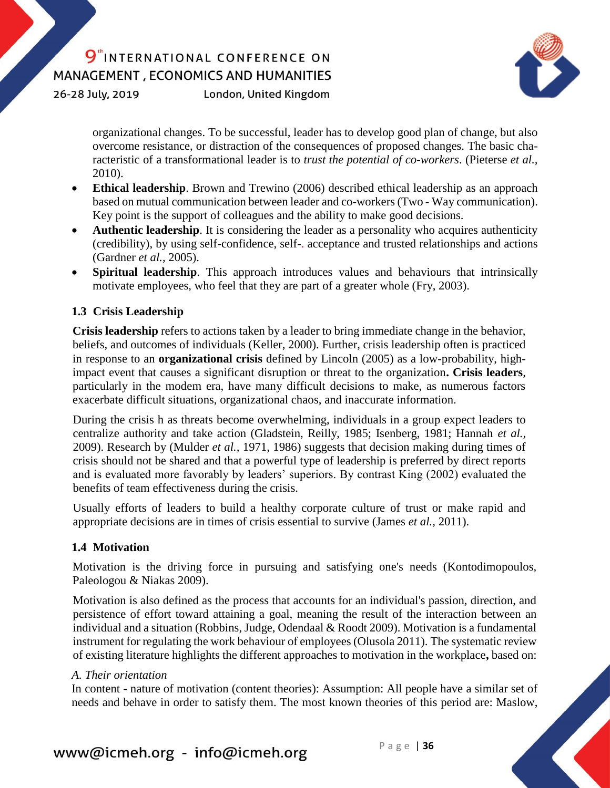26-28 July, 2019

London, United Kingdom



organizational changes. To be successful, leader has to develop good plan of change, but also overcome resistance, or distraction of the consequences of proposed changes. The basic characteristic of a transformational leader is to *trust the potential of co-workers*. (Pieterse *et al.,* 2010).

- **Ethical leadership**. Brown and Trewino (2006) described ethical leadership as an approach based on mutual communication between leader and co-workers (Two - Way communication). Key point is the support of colleagues and the ability to make good decisions.
- **Authentic leadership**. It is considering the leader as a personality who acquires authenticity (credibility), by using self-confidence, self-. acceptance and trusted relationships and actions (Gardner *et al.,* 2005).
- **Spiritual leadership**. This approach introduces values and behaviours that intrinsically motivate employees, who feel that they are part of a greater whole (Fry, 2003).

### **1.3 Crisis Leadership**

**Crisis leadership** refers to actions taken by a leader to bring immediate change in the behavior, beliefs, and outcomes of individuals (Keller, 2000). Further, crisis leadership often is practiced in response to an **organizational crisis** defined by Lincoln (2005) as a low-probability, highimpact event that causes a significant disruption or threat to the organization**. Crisis leaders**, particularly in the modem era, have many difficult decisions to make, as numerous factors exacerbate difficult situations, organizational chaos, and inaccurate information.

During the crisis h as threats become overwhelming, individuals in a group expect leaders to centralize authority and take action (Gladstein, Reilly, 1985; Isenberg, 1981; Hannah *et al.,* 2009). Research by (Mulder *et al.,* 1971, 1986) suggests that decision making during times of crisis should not be shared and that a powerful type of leadership is preferred by direct reports and is evaluated more favorably by leaders' superiors. By contrast King (2002) evaluated the benefits of team effectiveness during the crisis.

Usually efforts of leaders to build a healthy corporate culture of trust or make rapid and appropriate decisions are in times of crisis essential to survive (James *et al.,* 2011).

### **1.4 Motivation**

Motivation is the driving force in pursuing and satisfying one's needs (Kontodimopoulos, Paleologou & Niakas 2009).

Motivation is also defined as the process that accounts for an individual's passion, direction, and persistence of effort toward attaining a goal, meaning the result of the interaction between an individual and a situation (Robbins, Judge, Odendaal & Roodt 2009). Motivation is a fundamental instrument for regulating the work behaviour of employees (Olusola 2011). The systematic review of existing literature highlights the different approaches to motivation in the workplace**,** based on:

#### *A. Their orientation*

In content - nature of motivation (content theories): Assumption: All people have a similar set of needs and behave in order to satisfy them. The most known theories of this period are: Maslow,

www@icmeh.org - info@icmeh.org Page | 36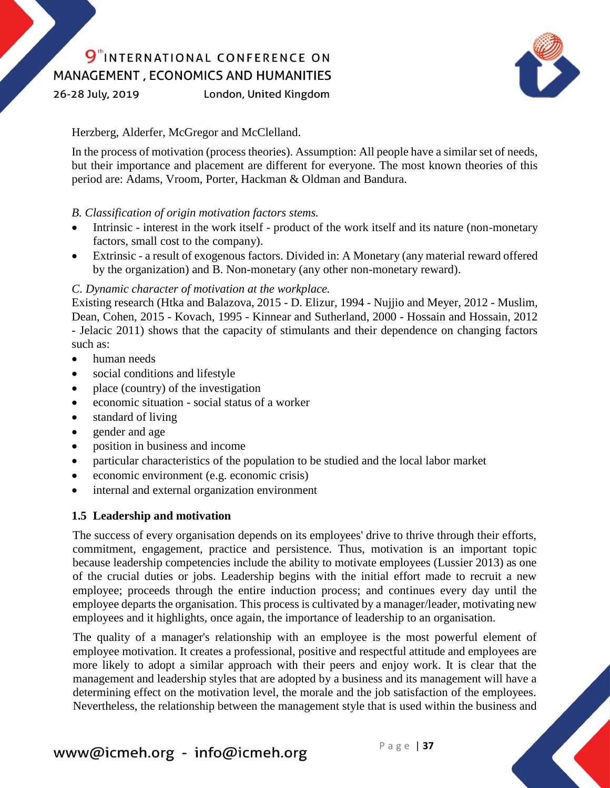26-28 July, 2019

London, United Kingdom



Herzberg, Alderfer, McGregor and McClelland.

In the process of motivation (process theories). Assumption: All people have a similar set of needs, but their importance and placement are different for everyone. The most known theories of this period are: Adams, Vroom, Porter, Hackman & Oldman and Bandura.

#### *B. Classification of origin motivation factors stems.*

- Intrinsic interest in the work itself product of the work itself and its nature (non-monetary factors, small cost to the company).
- Extrinsic a result of exogenous factors. Divided in: A Monetary (any material reward offered by the organization) and B. Non-monetary (any other non-monetary reward).

### *C. Dynamic character of motivation at the workplace.*

Existing research (Htka and Balazova, 2015 - D. Elizur, 1994 - Nujjio and Meyer, 2012 - Muslim, Dean, Cohen, 2015 - Kovach, 1995 - Kinnear and Sutherland, 2000 - Hossain and Hossain, 2012 - Jelacic 2011) shows that the capacity of stimulants and their dependence on changing factors such as:

- human needs
- social conditions and lifestyle
- place (country) of the investigation
- economic situation social status of a worker
- standard of living
- gender and age
- position in business and income
- particular characteristics of the population to be studied and the local labor market
- economic environment (e.g. economic crisis)
- internal and external organization environment

### **1.5 Leadership and motivation**

The success of every organisation depends on its employees' drive to thrive through their efforts, commitment, engagement, practice and persistence. Thus, motivation is an important topic because leadership competencies include the ability to motivate employees (Lussier 2013) as one of the crucial duties or jobs. Leadership begins with the initial effort made to recruit a new employee; proceeds through the entire induction process; and continues every day until the employee departs the organisation. This process is cultivated by a manager/leader, motivating new employees and it highlights, once again, the importance of leadership to an organisation.

The quality of a manager's relationship with an employee is the most powerful element of employee motivation. It creates a professional, positive and respectful attitude and employees are more likely to adopt a similar approach with their peers and enjoy work. It is clear that the management and leadership styles that are adopted by a business and its management will have a determining effect on the motivation level, the morale and the job satisfaction of the employees. Nevertheless, the relationship between the management style that is used within the business and

www@icmeh.org - info@icmeh.org Page | 37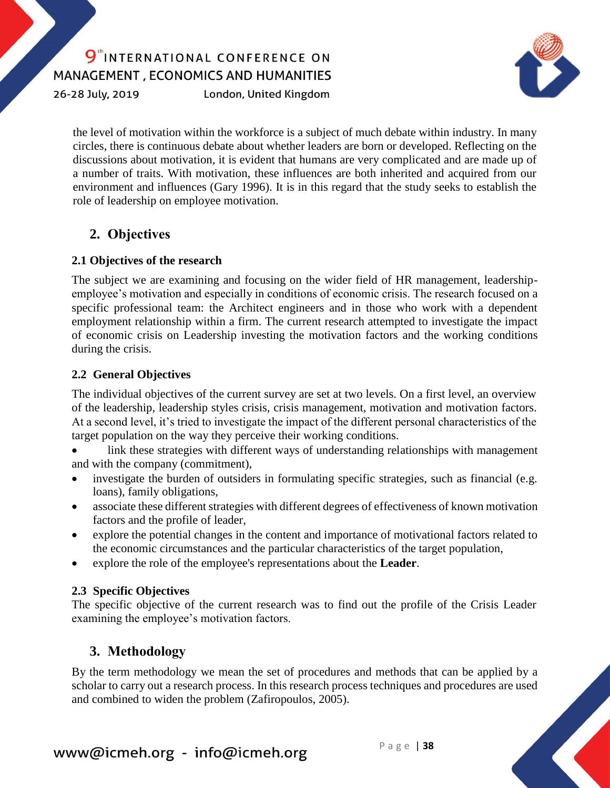26-28 July, 2019

London, United Kingdom



the level of motivation within the workforce is a subject of much debate within industry. In many circles, there is continuous debate about whether leaders are born or developed. Reflecting on the discussions about motivation, it is evident that humans are very complicated and are made up of a number of traits. With motivation, these influences are both inherited and acquired from our environment and influences (Gary 1996). It is in this regard that the study seeks to establish the role of leadership on employee motivation.

## **2. Objectives**

### **2.1 Objectives of the research**

The subject we are examining and focusing on the wider field of HR management, leadershipemployee's motivation and especially in conditions of economic crisis. The research focused on a specific professional team: the Architect engineers and in those who work with a dependent employment relationship within a firm. The current research attempted to investigate the impact of economic crisis on Leadership investing the motivation factors and the working conditions during the crisis.

### **2.2 General Objectives**

The individual objectives of the current survey are set at two levels. On a first level, an overview of the leadership, leadership styles crisis, crisis management, motivation and motivation factors. At a second level, it's tried to investigate the impact of the different personal characteristics of the target population on the way they perceive their working conditions.

- link these strategies with different ways of understanding relationships with management and with the company (commitment),
- investigate the burden of outsiders in formulating specific strategies, such as financial (e.g. loans), family obligations,
- associate these different strategies with different degrees of effectiveness of known motivation factors and the profile of leader,
- explore the potential changes in the content and importance of motivational factors related to the economic circumstances and the particular characteristics of the target population,
- explore the role of the employee's representations about the **Leader**.

### **2.3 Specific Objectives**

The specific objective of the current research was to find out the profile of the Crisis Leader examining the employee's motivation factors.

### **3. Methodology**

By the term methodology we mean the set of procedures and methods that can be applied by a scholar to carry out a research process. In this research process techniques and procedures are used and combined to widen the problem (Zafiropoulos, 2005).

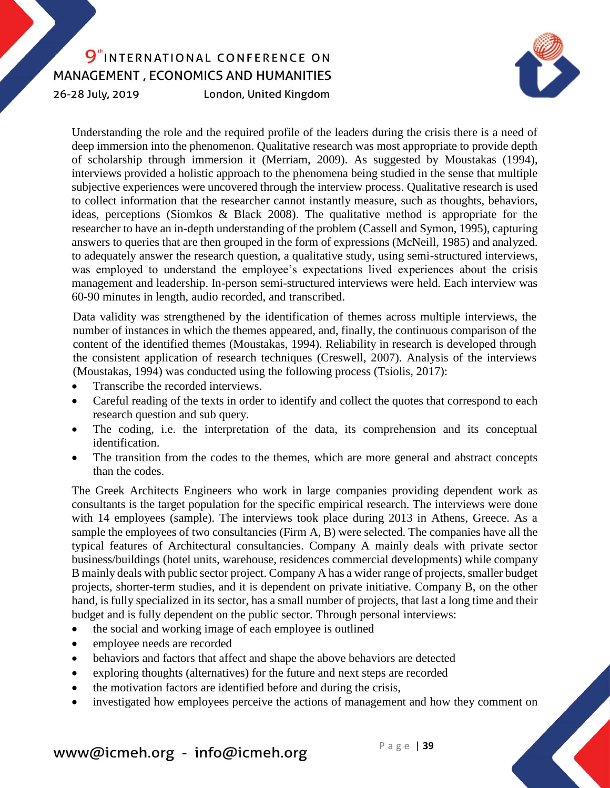26-28 July, 2019

London, United Kingdom



Understanding the role and the required profile of the leaders during the crisis there is a need of deep immersion into the phenomenon. Qualitative research was most appropriate to provide depth of scholarship through immersion it (Merriam, 2009). As suggested by Moustakas (1994), interviews provided a holistic approach to the phenomena being studied in the sense that multiple subjective experiences were uncovered through the interview process. Qualitative research is used to collect information that the researcher cannot instantly measure, such as thoughts, behaviors, ideas, perceptions (Siomkos & Black 2008). The qualitative method is appropriate for the researcher to have an in-depth understanding of the problem (Cassell and Symon, 1995), capturing answers to queries that are then grouped in the form of expressions (McNeill, 1985) and analyzed. to adequately answer the research question, a qualitative study, using semi-structured interviews, was employed to understand the employee's expectations lived experiences about the crisis management and leadership. In-person semi-structured interviews were held. Each interview was 60-90 minutes in length, audio recorded, and transcribed.

Data validity was strengthened by the identification of themes across multiple interviews, the number of instances in which the themes appeared, and, finally, the continuous comparison of the content of the identified themes (Moustakas, 1994). Reliability in research is developed through the consistent application of research techniques (Creswell, 2007). Analysis of the interviews (Moustakas, 1994) was conducted using the following process (Tsiolis, 2017):

- Transcribe the recorded interviews.
- Careful reading of the texts in order to identify and collect the quotes that correspond to each research question and sub query.
- The coding, i.e. the interpretation of the data, its comprehension and its conceptual identification.
- The transition from the codes to the themes, which are more general and abstract concepts than the codes.

The Greek Architects Engineers who work in large companies providing dependent work as consultants is the target population for the specific empirical research. The interviews were done with 14 employees (sample). The interviews took place during 2013 in Athens, Greece. As a sample the employees of two consultancies (Firm A, B) were selected. The companies have all the typical features of Architectural consultancies. Company A mainly deals with private sector business/buildings (hotel units, warehouse, residences commercial developments) while company B mainly deals with public sector project. Company A has a wider range of projects, smaller budget projects, shorter-term studies, and it is dependent on private initiative. Company B, on the other hand, is fully specialized in its sector, has a small number of projects, that last a long time and their budget and is fully dependent on the public sector. Through personal interviews:

- the social and working image of each employee is outlined
- employee needs are recorded
- behaviors and factors that affect and shape the above behaviors are detected
- exploring thoughts (alternatives) for the future and next steps are recorded
- the motivation factors are identified before and during the crisis,
- investigated how employees perceive the actions of management and how they comment on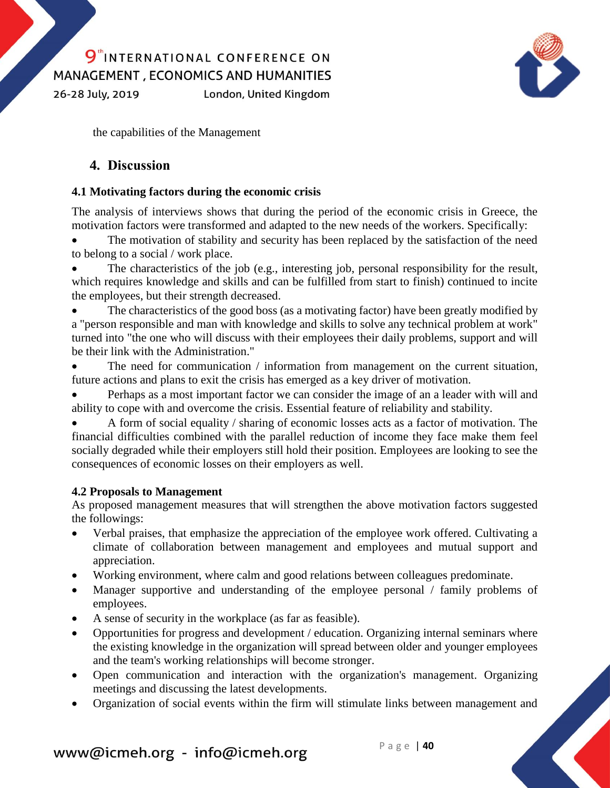26-28 July, 2019

London, United Kingdom



the capabilities of the Management

### **4. Discussion**

### **4.1 Motivating factors during the economic crisis**

The analysis of interviews shows that during the period of the economic crisis in Greece, the motivation factors were transformed and adapted to the new needs of the workers. Specifically:

 The motivation of stability and security has been replaced by the satisfaction of the need to belong to a social / work place.

 The characteristics of the job (e.g., interesting job, personal responsibility for the result, which requires knowledge and skills and can be fulfilled from start to finish) continued to incite the employees, but their strength decreased.

 The characteristics of the good boss (as a motivating factor) have been greatly modified by a "person responsible and man with knowledge and skills to solve any technical problem at work" turned into "the one who will discuss with their employees their daily problems, support and will be their link with the Administration."

 The need for communication / information from management on the current situation, future actions and plans to exit the crisis has emerged as a key driver of motivation.

 Perhaps as a most important factor we can consider the image of an a leader with will and ability to cope with and overcome the crisis. Essential feature of reliability and stability.

 A form of social equality / sharing of economic losses acts as a factor of motivation. The financial difficulties combined with the parallel reduction of income they face make them feel socially degraded while their employers still hold their position. Employees are looking to see the consequences of economic losses on their employers as well.

#### **4.2 Proposals to Management**

As proposed management measures that will strengthen the above motivation factors suggested the followings:

- Verbal praises, that emphasize the appreciation of the employee work offered. Cultivating a climate of collaboration between management and employees and mutual support and appreciation.
- Working environment, where calm and good relations between colleagues predominate.
- Manager supportive and understanding of the employee personal / family problems of employees.
- A sense of security in the workplace (as far as feasible).
- Opportunities for progress and development / education. Organizing internal seminars where the existing knowledge in the organization will spread between older and younger employees and the team's working relationships will become stronger.
- Open communication and interaction with the organization's management. Organizing meetings and discussing the latest developments.
- Organization of social events within the firm will stimulate links between management and

# www@icmeh.org - info@icmeh.org Page | 40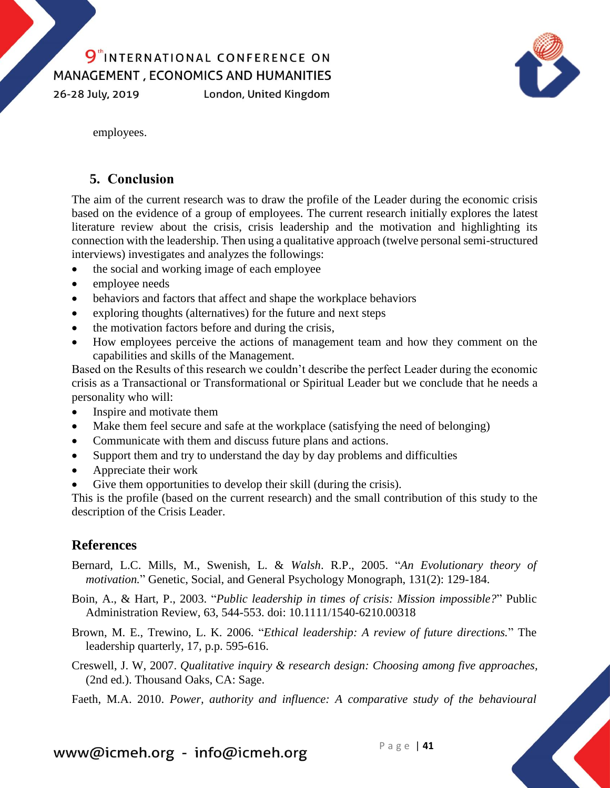26-28 July, 2019

London, United Kingdom



employees.

### **5. Conclusion**

The aim of the current research was to draw the profile of the Leader during the economic crisis based on the evidence of a group of employees. The current research initially explores the latest literature review about the crisis, crisis leadership and the motivation and highlighting its connection with the leadership. Then using a qualitative approach (twelve personal semi-structured interviews) investigates and analyzes the followings:

- the social and working image of each employee
- employee needs
- behaviors and factors that affect and shape the workplace behaviors
- exploring thoughts (alternatives) for the future and next steps
- the motivation factors before and during the crisis,
- How employees perceive the actions of management team and how they comment on the capabilities and skills of the Management.

Based on the Results of this research we couldn't describe the perfect Leader during the economic crisis as a Transactional or Transformational or Spiritual Leader but we conclude that he needs a personality who will:

- Inspire and motivate them
- Make them feel secure and safe at the workplace (satisfying the need of belonging)
- Communicate with them and discuss future plans and actions.
- Support them and try to understand the day by day problems and difficulties
- Appreciate their work
- Give them opportunities to develop their skill (during the crisis).

This is the profile (based on the current research) and the small contribution of this study to the description of the Crisis Leader.

### **References**

- Bernard, L.C. Mills, M., Swenish, L. & *Walsh*. R.P., 2005. "*An Evolutionary theory of motivation.*" Genetic, Social, and General Psychology Monograph, 131(2): 129-184.
- Boin, A., & Hart, P., 2003. "*Public leadership in times of crisis: Mission impossible?*" Public Administration Review, 63, 544-553. doi: 10.1111/1540-6210.00318
- Brown, M. E., Trewino, L. K. 2006. "*Ethical leadership: A review of future directions.*" The leadership quarterly, 17, p.p. 595-616.
- Creswell, J. W, 2007. *Qualitative inquiry & research design: Choosing among five approaches,*  (2nd ed.). Thousand Oaks, CA: Sage.
- Faeth, M.A. 2010. *Power, authority and influence: A comparative study of the behavioural*

www@icmeh.org - info@icmeh.org  $P \text{age} | 41$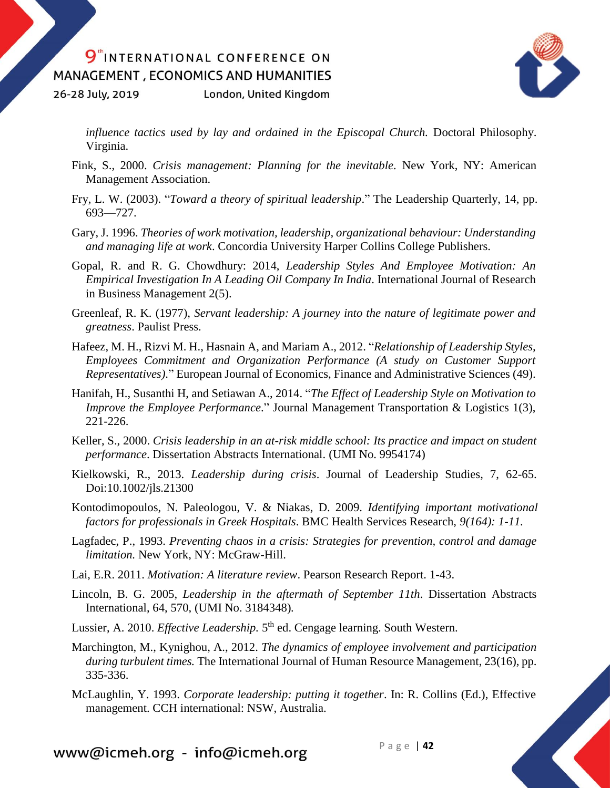26-28 July, 2019 London, United Kingdom



*influence tactics used by lay and ordained in the Episcopal Church.* Doctoral Philosophy. Virginia.

- Fink, S., 2000. *Crisis management: Planning for the inevitable.* New York, NY: American Management Association.
- Fry, L. W. (2003). "*Toward a theory of spiritual leadership*." The Leadership Quarterly, 14, pp. 693—727.
- Gary, J. 1996. *Theories of work motivation, leadership, organizational behaviour: Understanding and managing life at work*. Concordia University Harper Collins College Publishers.
- Gopal, R. and R. G. Chowdhury: 2014, *Leadership Styles And Employee Motivation: An Empirical Investigation In A Leading Oil Company In India*. International Journal of Research in Business Management 2(5).
- Greenleaf, R. K. (1977), *Servant leadership: A journey into the nature of legitimate power and greatness*. Paulist Press.
- Hafeez, M. H., Rizvi M. H., Hasnain A, and Mariam A., 2012. "*Relationship of Leadership Styles, Employees Commitment and Organization Performance (A study on Customer Support Representatives)*." European Journal of Economics, Finance and Administrative Sciences (49).
- <span id="page-10-0"></span>Hanifah, H., Susanthi H, and Setiawan A., 2014. "*The Effect of Leadership Style on Motivation to Improve the Employee Performance*." Journal Management Transportation & Logistics 1(3), 221-226.
- Keller, S., 2000. *Crisis leadership in an at-risk middle school: Its practice and impact on student performance*. Dissertation Abstracts International. (UMI No. 9954174)
- Kielkowski, R., 2013. *Leadership during crisis*. Journal of Leadership Studies, 7, 62-65. Doi:10.1002/jls.21300
- Kontodimopoulos, N. Paleologou, V. & Niakas, D. 2009. *Identifying important motivational factors for professionals in Greek Hospitals*. BMC Health Services Research, *9(164): 1-11.*
- Lagfadec, P., 1993. *Preventing chaos in a crisis: Strategies for prevention, control and damage limitation.* New York, NY: McGraw-Hill.
- Lai, E.R. 2011. *Motivation: A literature review*. Pearson Research Report. 1-43.
- Lincoln, B. G. 2005, *Leadership in the aftermath of September 11th*. Dissertation Abstracts International, 64, 570, (UMI No. 3184348)*.*
- Lussier, A. 2010. *Effective Leadership*. 5<sup>th</sup> ed. Cengage learning. South Western.
- Marchington, M., Kynighou, A., 2012. *The dynamics of employee involvement and participation during turbulent times.* The International Journal of Human Resource Management, 23(16), pp. 335-336.
- McLaughlin, Y. 1993. *Corporate leadership: putting it together*. In: R. Collins (Ed.), Effective<br>management. CCH international: NSW, Australia.<br>ww@icmeh.org info@icmeh.org Page | 42 management. CCH international: NSW, Australia.

www@icmeh.org - info@icmeh.org  $P \text{age} | 42$